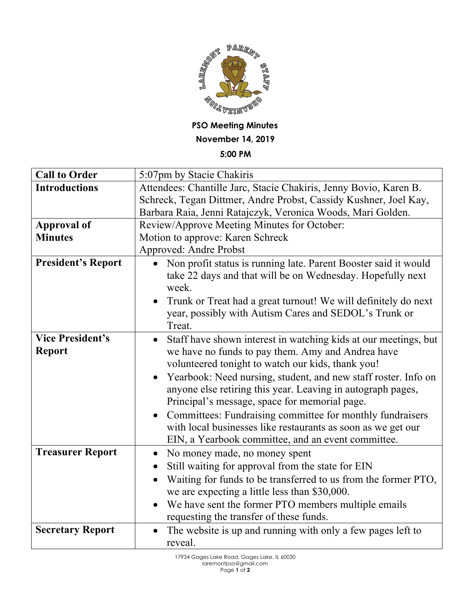

## **PSO Meeting Minutes November 14, 2019**

## **5:00 PM**

| <b>Call to Order</b>      | 5:07pm by Stacie Chakiris                                                                                                              |
|---------------------------|----------------------------------------------------------------------------------------------------------------------------------------|
| <b>Introductions</b>      | Attendees: Chantille Jarc, Stacie Chakiris, Jenny Bovio, Karen B.                                                                      |
|                           | Schreck, Tegan Dittmer, Andre Probst, Cassidy Kushner, Joel Kay,                                                                       |
|                           | Barbara Raia, Jenni Ratajczyk, Veronica Woods, Mari Golden.                                                                            |
| <b>Approval of</b>        | Review/Approve Meeting Minutes for October:                                                                                            |
| <b>Minutes</b>            | Motion to approve: Karen Schreck                                                                                                       |
|                           | Approved: Andre Probst                                                                                                                 |
| <b>President's Report</b> | Non profit status is running late. Parent Booster said it would<br>take 22 days and that will be on Wednesday. Hopefully next<br>week. |
|                           | Trunk or Treat had a great turnout! We will definitely do next<br>year, possibly with Autism Cares and SEDOL's Trunk or<br>Treat.      |
| <b>Vice President's</b>   | Staff have shown interest in watching kids at our meetings, but<br>$\bullet$                                                           |
| <b>Report</b>             | we have no funds to pay them. Amy and Andrea have                                                                                      |
|                           | volunteered tonight to watch our kids, thank you!                                                                                      |
|                           | Yearbook: Need nursing, student, and new staff roster. Info on                                                                         |
|                           | anyone else retiring this year. Leaving in autograph pages,                                                                            |
|                           | Principal's message, space for memorial page.                                                                                          |
|                           | Committees: Fundraising committee for monthly fundraisers<br>$\bullet$                                                                 |
|                           | with local businesses like restaurants as soon as we get our                                                                           |
|                           | EIN, a Yearbook committee, and an event committee.                                                                                     |
| <b>Treasurer Report</b>   | No money made, no money spent<br>$\bullet$                                                                                             |
|                           | Still waiting for approval from the state for EIN<br>$\bullet$                                                                         |
|                           | Waiting for funds to be transferred to us from the former PTO,                                                                         |
|                           | we are expecting a little less than \$30,000.                                                                                          |
|                           | We have sent the former PTO members multiple emails                                                                                    |
|                           | requesting the transfer of these funds.                                                                                                |
| <b>Secretary Report</b>   | The website is up and running with only a few pages left to                                                                            |
|                           | reveal.                                                                                                                                |